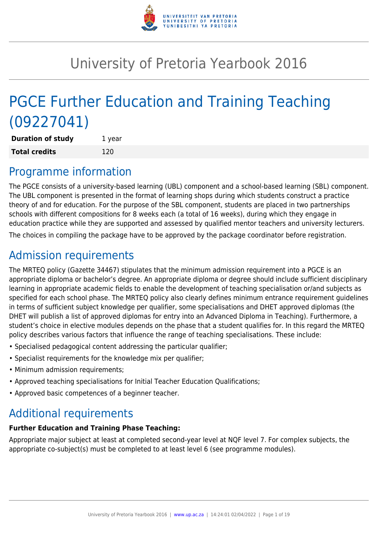

# University of Pretoria Yearbook 2016

# PGCE Further Education and Training Teaching (09227041)

**Duration of study** 1 year **Total credits** 120

### Programme information

The PGCE consists of a university-based learning (UBL) component and a school-based learning (SBL) component. The UBL component is presented in the format of learning shops during which students construct a practice theory of and for education. For the purpose of the SBL component, students are placed in two partnerships schools with different compositions for 8 weeks each (a total of 16 weeks), during which they engage in education practice while they are supported and assessed by qualified mentor teachers and university lecturers. The choices in compiling the package have to be approved by the package coordinator before registration.

## Admission requirements

The MRTEQ policy (Gazette 34467) stipulates that the minimum admission requirement into a PGCE is an appropriate diploma or bachelor's degree. An appropriate diploma or degree should include sufficient disciplinary learning in appropriate academic fields to enable the development of teaching specialisation or/and subjects as specified for each school phase. The MRTEQ policy also clearly defines minimum entrance requirement guidelines in terms of sufficient subject knowledge per qualifier, some specialisations and DHET approved diplomas (the DHET will publish a list of approved diplomas for entry into an Advanced Diploma in Teaching). Furthermore, a student's choice in elective modules depends on the phase that a student qualifies for. In this regard the MRTEQ policy describes various factors that influence the range of teaching specialisations. These include:

- Specialised pedagogical content addressing the particular qualifier;
- Specialist requirements for the knowledge mix per qualifier;
- Minimum admission requirements;
- Approved teaching specialisations for Initial Teacher Education Qualifications;
- Approved basic competences of a beginner teacher.

## Additional requirements

### **Further Education and Training Phase Teaching:**

Appropriate major subject at least at completed second-year level at NQF level 7. For complex subjects, the appropriate co-subject(s) must be completed to at least level 6 (see programme modules).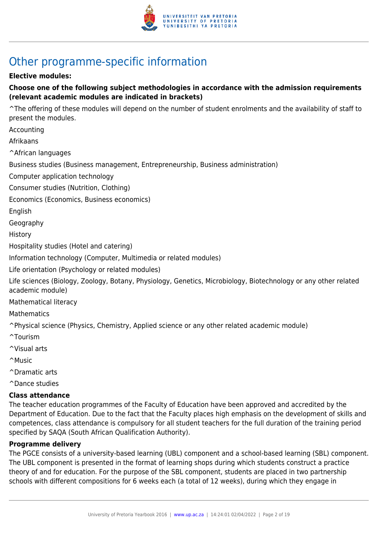

## Other programme-specific information

#### **Elective modules:**

#### **Choose one of the following subject methodologies in accordance with the admission requirements (relevant academic modules are indicated in brackets)**

^The offering of these modules will depend on the number of student enrolments and the availability of staff to present the modules.

Accounting

Afrikaans

^African languages

Business studies (Business management, Entrepreneurship, Business administration)

Computer application technology

Consumer studies (Nutrition, Clothing)

Economics (Economics, Business economics)

English

Geography

History

Hospitality studies (Hotel and catering)

Information technology (Computer, Multimedia or related modules)

Life orientation (Psychology or related modules)

Life sciences (Biology, Zoology, Botany, Physiology, Genetics, Microbiology, Biotechnology or any other related academic module)

Mathematical literacy

**Mathematics** 

^Physical science (Physics, Chemistry, Applied science or any other related academic module)

- ^Tourism
- ^Visual arts
- ^Music
- ^Dramatic arts

^Dance studies

#### **Class attendance**

The teacher education programmes of the Faculty of Education have been approved and accredited by the Department of Education. Due to the fact that the Faculty places high emphasis on the development of skills and competences, class attendance is compulsory for all student teachers for the full duration of the training period specified by SAQA (South African Qualification Authority).

#### **Programme delivery**

The PGCE consists of a university-based learning (UBL) component and a school-based learning (SBL) component. The UBL component is presented in the format of learning shops during which students construct a practice theory of and for education. For the purpose of the SBL component, students are placed in two partnership schools with different compositions for 6 weeks each (a total of 12 weeks), during which they engage in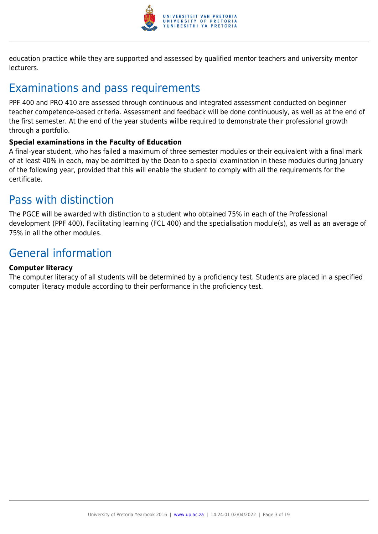

education practice while they are supported and assessed by qualified mentor teachers and university mentor lecturers.

## Examinations and pass requirements

PPF 400 and PRO 410 are assessed through continuous and integrated assessment conducted on beginner teacher competence-based criteria. Assessment and feedback will be done continuously, as well as at the end of the first semester. At the end of the year students willbe required to demonstrate their professional growth through a portfolio.

#### **Special examinations in the Faculty of Education**

A final-year student, who has failed a maximum of three semester modules or their equivalent with a final mark of at least 40% in each, may be admitted by the Dean to a special examination in these modules during January of the following year, provided that this will enable the student to comply with all the requirements for the certificate.

### Pass with distinction

The PGCE will be awarded with distinction to a student who obtained 75% in each of the Professional development (PPF 400), Facilitating learning (FCL 400) and the specialisation module(s), as well as an average of 75% in all the other modules.

## General information

#### **Computer literacy**

The computer literacy of all students will be determined by a proficiency test. Students are placed in a specified computer literacy module according to their performance in the proficiency test.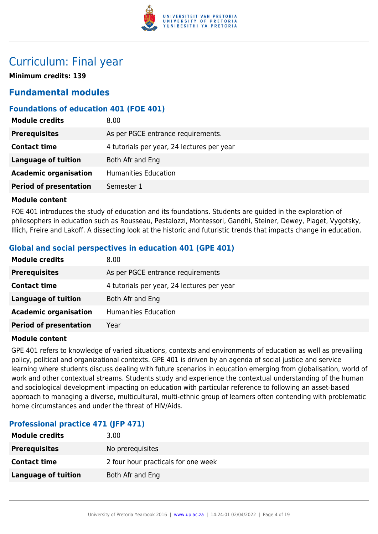

### Curriculum: Final year

**Minimum credits: 139**

### **Fundamental modules**

#### **Foundations of education 401 (FOE 401)**

| <b>Module credits</b>         | 8.00                                       |
|-------------------------------|--------------------------------------------|
| <b>Prerequisites</b>          | As per PGCE entrance requirements.         |
| <b>Contact time</b>           | 4 tutorials per year, 24 lectures per year |
| <b>Language of tuition</b>    | Both Afr and Eng                           |
| <b>Academic organisation</b>  | <b>Humanities Education</b>                |
| <b>Period of presentation</b> | Semester 1                                 |

#### **Module content**

FOE 401 introduces the study of education and its foundations. Students are guided in the exploration of philosophers in education such as Rousseau, Pestalozzi, Montessori, Gandhi, Steiner, Dewey, Piaget, Vygotsky, Illich, Freire and Lakoff. A dissecting look at the historic and futuristic trends that impacts change in education.

#### **Global and social perspectives in education 401 (GPE 401)**

| <b>Module credits</b>         | 8.00                                       |
|-------------------------------|--------------------------------------------|
| <b>Prerequisites</b>          | As per PGCE entrance requirements          |
| <b>Contact time</b>           | 4 tutorials per year, 24 lectures per year |
| <b>Language of tuition</b>    | Both Afr and Eng                           |
| <b>Academic organisation</b>  | <b>Humanities Education</b>                |
| <b>Period of presentation</b> | Year                                       |

#### **Module content**

GPE 401 refers to knowledge of varied situations, contexts and environments of education as well as prevailing policy, political and organizational contexts. GPE 401 is driven by an agenda of social justice and service learning where students discuss dealing with future scenarios in education emerging from globalisation, world of work and other contextual streams. Students study and experience the contextual understanding of the human and sociological development impacting on education with particular reference to following an asset-based approach to managing a diverse, multicultural, multi-ethnic group of learners often contending with problematic home circumstances and under the threat of HIV/Aids.

#### **Professional practice 471 (JFP 471)**

| <b>Module credits</b> | 3.00                                |
|-----------------------|-------------------------------------|
| <b>Prerequisites</b>  | No prerequisites                    |
| <b>Contact time</b>   | 2 four hour practicals for one week |
| Language of tuition   | Both Afr and Eng                    |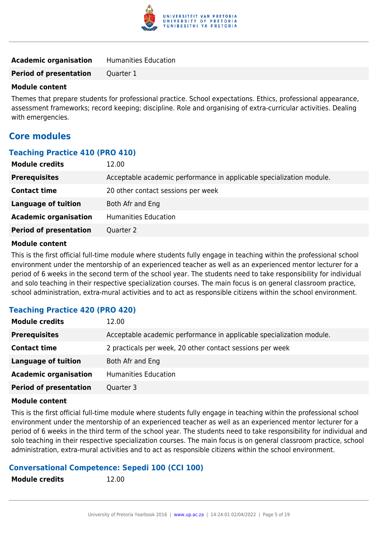

| <b>Academic organisation</b> | <b>Humanities Education</b> |
|------------------------------|-----------------------------|
|                              |                             |

**Period of presentation** Quarter 1

#### **Module content**

Themes that prepare students for professional practice. School expectations. Ethics, professional appearance, assessment frameworks; record keeping; discipline. Role and organising of extra-curricular activities. Dealing with emergencies.

### **Core modules**

#### **Teaching Practice 410 (PRO 410)**

| <b>Module credits</b>         | 12.00                                                                |
|-------------------------------|----------------------------------------------------------------------|
| <b>Prerequisites</b>          | Acceptable academic performance in applicable specialization module. |
| <b>Contact time</b>           | 20 other contact sessions per week                                   |
| <b>Language of tuition</b>    | Both Afr and Eng                                                     |
| <b>Academic organisation</b>  | <b>Humanities Education</b>                                          |
| <b>Period of presentation</b> | Quarter 2                                                            |

#### **Module content**

This is the first official full-time module where students fully engage in teaching within the professional school environment under the mentorship of an experienced teacher as well as an experienced mentor lecturer for a period of 6 weeks in the second term of the school year. The students need to take responsibility for individual and solo teaching in their respective specialization courses. The main focus is on general classroom practice, school administration, extra-mural activities and to act as responsible citizens within the school environment.

#### **Teaching Practice 420 (PRO 420)**

| <b>Module credits</b>         | 12.00                                                                |
|-------------------------------|----------------------------------------------------------------------|
| <b>Prerequisites</b>          | Acceptable academic performance in applicable specialization module. |
| <b>Contact time</b>           | 2 practicals per week, 20 other contact sessions per week            |
| <b>Language of tuition</b>    | Both Afr and Eng                                                     |
| <b>Academic organisation</b>  | Humanities Education                                                 |
| <b>Period of presentation</b> | Quarter 3                                                            |

#### **Module content**

This is the first official full-time module where students fully engage in teaching within the professional school environment under the mentorship of an experienced teacher as well as an experienced mentor lecturer for a period of 6 weeks in the third term of the school year. The students need to take responsibility for individual and solo teaching in their respective specialization courses. The main focus is on general classroom practice, school administration, extra-mural activities and to act as responsible citizens within the school environment.

#### **Conversational Competence: Sepedi 100 (CCI 100)**

**Module credits** 12.00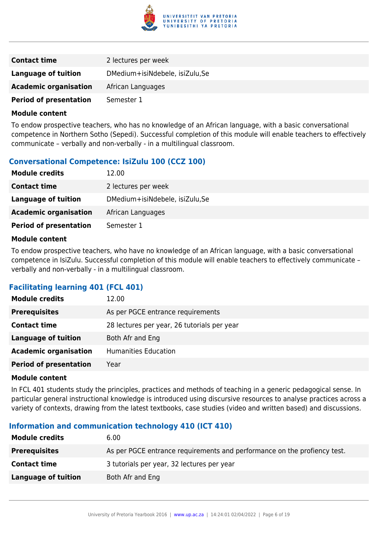

| <b>Contact time</b>           | 2 lectures per week            |
|-------------------------------|--------------------------------|
| Language of tuition           | DMedium+isiNdebele, isiZulu,Se |
| <b>Academic organisation</b>  | African Languages              |
| <b>Period of presentation</b> | Semester 1                     |

To endow prospective teachers, who has no knowledge of an African language, with a basic conversational competence in Northern Sotho (Sepedi). Successful completion of this module will enable teachers to effectively communicate – verbally and non-verbally - in a multilingual classroom.

#### **Conversational Competence: IsiZulu 100 (CCZ 100)**

| <b>Module credits</b>         | 12.00                          |
|-------------------------------|--------------------------------|
| <b>Contact time</b>           | 2 lectures per week            |
| Language of tuition           | DMedium+isiNdebele, isiZulu,Se |
| <b>Academic organisation</b>  | African Languages              |
| <b>Period of presentation</b> | Semester 1                     |

#### **Module content**

To endow prospective teachers, who have no knowledge of an African language, with a basic conversational competence in IsiZulu. Successful completion of this module will enable teachers to effectively communicate – verbally and non-verbally - in a multilingual classroom.

#### **Facilitating learning 401 (FCL 401)**

| <b>Module credits</b>         | 12.00                                       |
|-------------------------------|---------------------------------------------|
| <b>Prerequisites</b>          | As per PGCE entrance requirements           |
| <b>Contact time</b>           | 28 lectures per year, 26 tutorials per year |
| <b>Language of tuition</b>    | Both Afr and Eng                            |
| <b>Academic organisation</b>  | <b>Humanities Education</b>                 |
| <b>Period of presentation</b> | Year                                        |

#### **Module content**

In FCL 401 students study the principles, practices and methods of teaching in a generic pedagogical sense. In particular general instructional knowledge is introduced using discursive resources to analyse practices across a variety of contexts, drawing from the latest textbooks, case studies (video and written based) and discussions.

#### **Information and communication technology 410 (ICT 410)**

| <b>Module credits</b> | 6.00                                                                     |
|-----------------------|--------------------------------------------------------------------------|
| <b>Prerequisites</b>  | As per PGCE entrance requirements and performance on the profiency test. |
| <b>Contact time</b>   | 3 tutorials per year, 32 lectures per year                               |
| Language of tuition   | Both Afr and Eng                                                         |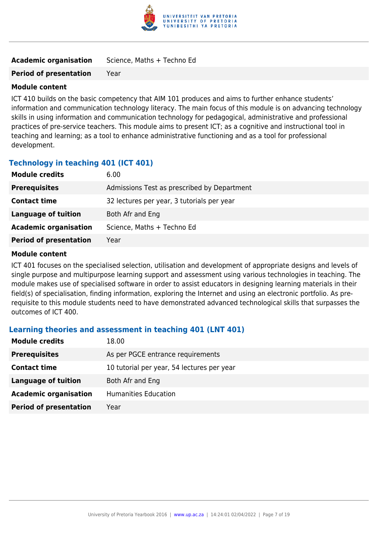

| <b>Academic organisation</b> | Science, Maths + Techno Ed |
|------------------------------|----------------------------|
|                              |                            |

#### **Period of presentation** Year

#### **Module content**

ICT 410 builds on the basic competency that AIM 101 produces and aims to further enhance students' information and communication technology literacy. The main focus of this module is on advancing technology skills in using information and communication technology for pedagogical, administrative and professional practices of pre-service teachers. This module aims to present ICT; as a cognitive and instructional tool in teaching and learning; as a tool to enhance administrative functioning and as a tool for professional development.

#### **Technology in teaching 401 (ICT 401)**

| <b>Module credits</b>         | 6.00                                        |
|-------------------------------|---------------------------------------------|
| <b>Prerequisites</b>          | Admissions Test as prescribed by Department |
| <b>Contact time</b>           | 32 lectures per year, 3 tutorials per year  |
| Language of tuition           | Both Afr and Eng                            |
| <b>Academic organisation</b>  | Science, Maths + Techno Ed                  |
| <b>Period of presentation</b> | Year                                        |
|                               |                                             |

#### **Module content**

ICT 401 focuses on the specialised selection, utilisation and development of appropriate designs and levels of single purpose and multipurpose learning support and assessment using various technologies in teaching. The module makes use of specialised software in order to assist educators in designing learning materials in their field(s) of specialisation, finding information, exploring the Internet and using an electronic portfolio. As prerequisite to this module students need to have demonstrated advanced technological skills that surpasses the outcomes of ICT 400.

#### **Learning theories and assessment in teaching 401 (LNT 401)**

| <b>Module credits</b>         | 18.00                                      |  |
|-------------------------------|--------------------------------------------|--|
| <b>Prerequisites</b>          | As per PGCE entrance requirements          |  |
| <b>Contact time</b>           | 10 tutorial per year, 54 lectures per year |  |
| Language of tuition           | Both Afr and Eng                           |  |
| <b>Academic organisation</b>  | <b>Humanities Education</b>                |  |
| <b>Period of presentation</b> | Year                                       |  |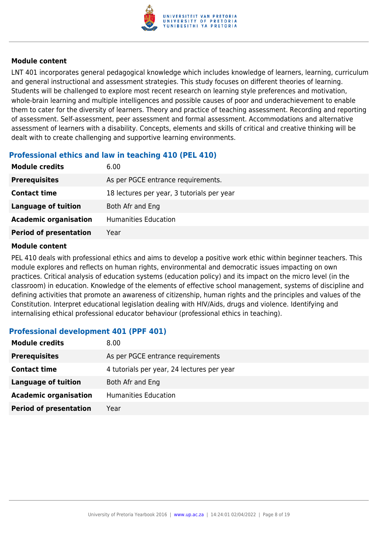

LNT 401 incorporates general pedagogical knowledge which includes knowledge of learners, learning, curriculum and general instructional and assessment strategies. This study focuses on different theories of learning. Students will be challenged to explore most recent research on learning style preferences and motivation, whole-brain learning and multiple intelligences and possible causes of poor and underachievement to enable them to cater for the diversity of learners. Theory and practice of teaching assessment. Recording and reporting of assessment. Self-assessment, peer assessment and formal assessment. Accommodations and alternative assessment of learners with a disability. Concepts, elements and skills of critical and creative thinking will be dealt with to create challenging and supportive learning environments.

#### **Professional ethics and law in teaching 410 (PEL 410)**

| <b>Module credits</b>         | 6.00                                       |  |
|-------------------------------|--------------------------------------------|--|
| <b>Prerequisites</b>          | As per PGCE entrance requirements.         |  |
| <b>Contact time</b>           | 18 lectures per year, 3 tutorials per year |  |
| Language of tuition           | Both Afr and Eng                           |  |
| <b>Academic organisation</b>  | <b>Humanities Education</b>                |  |
| <b>Period of presentation</b> | Year                                       |  |

#### **Module content**

PEL 410 deals with professional ethics and aims to develop a positive work ethic within beginner teachers. This module explores and reflects on human rights, environmental and democratic issues impacting on own practices. Critical analysis of education systems (education policy) and its impact on the micro level (in the classroom) in education. Knowledge of the elements of effective school management, systems of discipline and defining activities that promote an awareness of citizenship, human rights and the principles and values of the Constitution. Interpret educational legislation dealing with HIV/Aids, drugs and violence. Identifying and internalising ethical professional educator behaviour (professional ethics in teaching).

#### **Professional development 401 (PPF 401)**

| <b>Module credits</b>         | 8.00                                       |  |
|-------------------------------|--------------------------------------------|--|
| <b>Prerequisites</b>          | As per PGCE entrance requirements          |  |
| <b>Contact time</b>           | 4 tutorials per year, 24 lectures per year |  |
| <b>Language of tuition</b>    | Both Afr and Eng                           |  |
| <b>Academic organisation</b>  | Humanities Education                       |  |
| <b>Period of presentation</b> | Year                                       |  |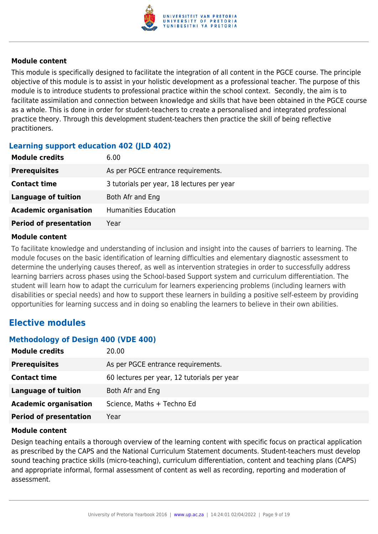

This module is specifically designed to facilitate the integration of all content in the PGCE course. The principle objective of this module is to assist in your holistic development as a professional teacher. The purpose of this module is to introduce students to professional practice within the school context. Secondly, the aim is to facilitate assimilation and connection between knowledge and skills that have been obtained in the PGCE course as a whole. This is done in order for student-teachers to create a personalised and integrated professional practice theory. Through this development student-teachers then practice the skill of being reflective practitioners.

#### **Learning support education 402 (JLD 402)**

| <b>Module credits</b>         | 6.00                                       |  |
|-------------------------------|--------------------------------------------|--|
| <b>Prerequisites</b>          | As per PGCE entrance requirements.         |  |
| <b>Contact time</b>           | 3 tutorials per year, 18 lectures per year |  |
| <b>Language of tuition</b>    | Both Afr and Eng                           |  |
| <b>Academic organisation</b>  | <b>Humanities Education</b>                |  |
| <b>Period of presentation</b> | Year                                       |  |

#### **Module content**

To facilitate knowledge and understanding of inclusion and insight into the causes of barriers to learning. The module focuses on the basic identification of learning difficulties and elementary diagnostic assessment to determine the underlying causes thereof, as well as intervention strategies in order to successfully address learning barriers across phases using the School-based Support system and curriculum differentiation. The student will learn how to adapt the curriculum for learners experiencing problems (including learners with disabilities or special needs) and how to support these learners in building a positive self-esteem by providing opportunities for learning success and in doing so enabling the learners to believe in their own abilities.

### **Elective modules**

#### **Methodology of Design 400 (VDE 400)**

| <b>Module credits</b>         | 20.00                                       |  |
|-------------------------------|---------------------------------------------|--|
| <b>Prerequisites</b>          | As per PGCE entrance requirements.          |  |
| <b>Contact time</b>           | 60 lectures per year, 12 tutorials per year |  |
| <b>Language of tuition</b>    | Both Afr and Eng                            |  |
| <b>Academic organisation</b>  | Science, Maths + Techno Ed                  |  |
| <b>Period of presentation</b> | Year                                        |  |

#### **Module content**

Design teaching entails a thorough overview of the learning content with specific focus on practical application as prescribed by the CAPS and the National Curriculum Statement documents. Student-teachers must develop sound teaching practice skills (micro-teaching), curriculum differentiation, content and teaching plans (CAPS) and appropriate informal, formal assessment of content as well as recording, reporting and moderation of assessment.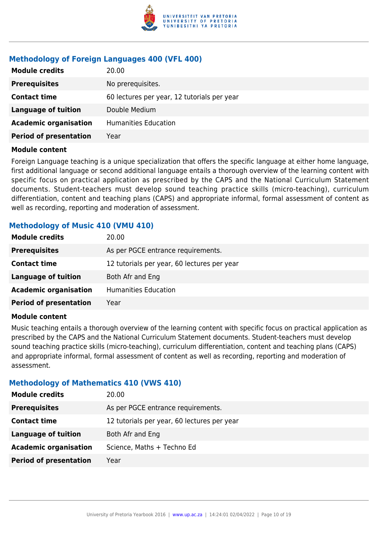

#### **Methodology of Foreign Languages 400 (VFL 400)**

| <b>Module credits</b>         | 20.00                                       |  |
|-------------------------------|---------------------------------------------|--|
| <b>Prerequisites</b>          | No prerequisites.                           |  |
| <b>Contact time</b>           | 60 lectures per year, 12 tutorials per year |  |
| Language of tuition           | Double Medium                               |  |
| <b>Academic organisation</b>  | <b>Humanities Education</b>                 |  |
| <b>Period of presentation</b> | Year                                        |  |

#### **Module content**

Foreign Language teaching is a unique specialization that offers the specific language at either home language, first additional language or second additional language entails a thorough overview of the learning content with specific focus on practical application as prescribed by the CAPS and the National Curriculum Statement documents. Student-teachers must develop sound teaching practice skills (micro-teaching), curriculum differentiation, content and teaching plans (CAPS) and appropriate informal, formal assessment of content as well as recording, reporting and moderation of assessment.

#### **Methodology of Music 410 (VMU 410)**

| <b>Module credits</b>         | 20.00                                       |  |
|-------------------------------|---------------------------------------------|--|
| <b>Prerequisites</b>          | As per PGCE entrance requirements.          |  |
| <b>Contact time</b>           | 12 tutorials per year, 60 lectures per year |  |
| <b>Language of tuition</b>    | Both Afr and Eng                            |  |
| <b>Academic organisation</b>  | <b>Humanities Education</b>                 |  |
| <b>Period of presentation</b> | Year                                        |  |

#### **Module content**

Music teaching entails a thorough overview of the learning content with specific focus on practical application as prescribed by the CAPS and the National Curriculum Statement documents. Student-teachers must develop sound teaching practice skills (micro-teaching), curriculum differentiation, content and teaching plans (CAPS) and appropriate informal, formal assessment of content as well as recording, reporting and moderation of assessment.

#### **Methodology of Mathematics 410 (VWS 410)**

| <b>Module credits</b>         | 20.00                                       |  |
|-------------------------------|---------------------------------------------|--|
| <b>Prerequisites</b>          | As per PGCE entrance requirements.          |  |
| <b>Contact time</b>           | 12 tutorials per year, 60 lectures per year |  |
| <b>Language of tuition</b>    | Both Afr and Eng                            |  |
| <b>Academic organisation</b>  | Science, Maths + Techno Ed                  |  |
| <b>Period of presentation</b> | Year                                        |  |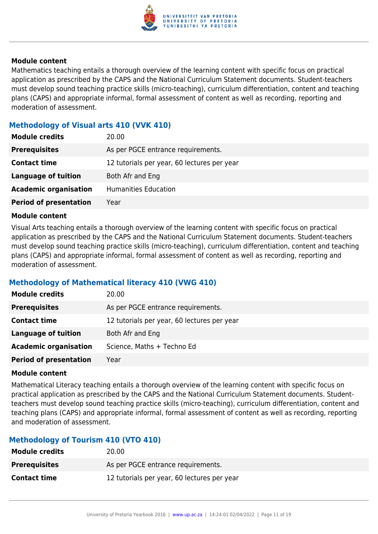

Mathematics teaching entails a thorough overview of the learning content with specific focus on practical application as prescribed by the CAPS and the National Curriculum Statement documents. Student-teachers must develop sound teaching practice skills (micro-teaching), curriculum differentiation, content and teaching plans (CAPS) and appropriate informal, formal assessment of content as well as recording, reporting and moderation of assessment.

#### **Methodology of Visual arts 410 (VVK 410)**

| <b>Module credits</b>         | 20.00                                       |  |
|-------------------------------|---------------------------------------------|--|
| <b>Prerequisites</b>          | As per PGCE entrance requirements.          |  |
| <b>Contact time</b>           | 12 tutorials per year, 60 lectures per year |  |
| Language of tuition           | Both Afr and Eng                            |  |
| <b>Academic organisation</b>  | <b>Humanities Education</b>                 |  |
| <b>Period of presentation</b> | Year                                        |  |

#### **Module content**

Visual Arts teaching entails a thorough overview of the learning content with specific focus on practical application as prescribed by the CAPS and the National Curriculum Statement documents. Student-teachers must develop sound teaching practice skills (micro-teaching), curriculum differentiation, content and teaching plans (CAPS) and appropriate informal, formal assessment of content as well as recording, reporting and moderation of assessment.

#### **Methodology of Mathematical literacy 410 (VWG 410)**

| <b>Module credits</b>         | 20.00                                       |
|-------------------------------|---------------------------------------------|
| <b>Prerequisites</b>          | As per PGCE entrance requirements.          |
| <b>Contact time</b>           | 12 tutorials per year, 60 lectures per year |
| <b>Language of tuition</b>    | Both Afr and Eng                            |
| <b>Academic organisation</b>  | Science, Maths + Techno Ed                  |
| <b>Period of presentation</b> | Year                                        |

#### **Module content**

Mathematical Literacy teaching entails a thorough overview of the learning content with specific focus on practical application as prescribed by the CAPS and the National Curriculum Statement documents. Studentteachers must develop sound teaching practice skills (micro-teaching), curriculum differentiation, content and teaching plans (CAPS) and appropriate informal, formal assessment of content as well as recording, reporting and moderation of assessment.

#### **Methodology of Tourism 410 (VTO 410)**

| <b>Module credits</b> | 20.00                                       |
|-----------------------|---------------------------------------------|
| <b>Prerequisites</b>  | As per PGCE entrance requirements.          |
| <b>Contact time</b>   | 12 tutorials per year, 60 lectures per year |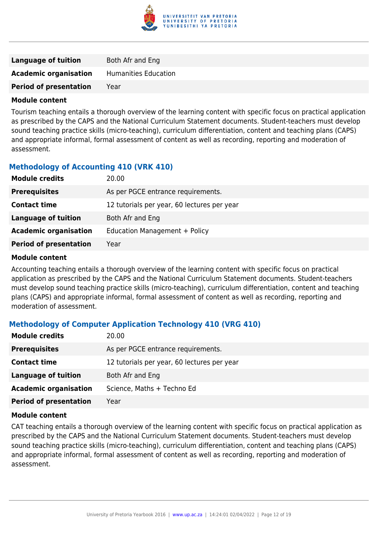

| <b>Language of tuition</b>    | Both Afr and Eng            |
|-------------------------------|-----------------------------|
| <b>Academic organisation</b>  | <b>Humanities Education</b> |
| <b>Period of presentation</b> | Year                        |

Tourism teaching entails a thorough overview of the learning content with specific focus on practical application as prescribed by the CAPS and the National Curriculum Statement documents. Student-teachers must develop sound teaching practice skills (micro-teaching), curriculum differentiation, content and teaching plans (CAPS) and appropriate informal, formal assessment of content as well as recording, reporting and moderation of assessment.

#### **Methodology of Accounting 410 (VRK 410)**

| <b>Module credits</b>         | 20.00                                       |
|-------------------------------|---------------------------------------------|
| <b>Prerequisites</b>          | As per PGCE entrance requirements.          |
| <b>Contact time</b>           | 12 tutorials per year, 60 lectures per year |
| <b>Language of tuition</b>    | Both Afr and Eng                            |
| <b>Academic organisation</b>  | Education Management + Policy               |
| <b>Period of presentation</b> | Year                                        |

#### **Module content**

Accounting teaching entails a thorough overview of the learning content with specific focus on practical application as prescribed by the CAPS and the National Curriculum Statement documents. Student-teachers must develop sound teaching practice skills (micro-teaching), curriculum differentiation, content and teaching plans (CAPS) and appropriate informal, formal assessment of content as well as recording, reporting and moderation of assessment.

#### **Methodology of Computer Application Technology 410 (VRG 410)**

| <b>Module credits</b>         | 20.00                                       |
|-------------------------------|---------------------------------------------|
| <b>Prerequisites</b>          | As per PGCE entrance requirements.          |
| <b>Contact time</b>           | 12 tutorials per year, 60 lectures per year |
| Language of tuition           | Both Afr and Eng                            |
| <b>Academic organisation</b>  | Science, Maths + Techno Ed                  |
| <b>Period of presentation</b> | Year                                        |

#### **Module content**

CAT teaching entails a thorough overview of the learning content with specific focus on practical application as prescribed by the CAPS and the National Curriculum Statement documents. Student-teachers must develop sound teaching practice skills (micro-teaching), curriculum differentiation, content and teaching plans (CAPS) and appropriate informal, formal assessment of content as well as recording, reporting and moderation of assessment.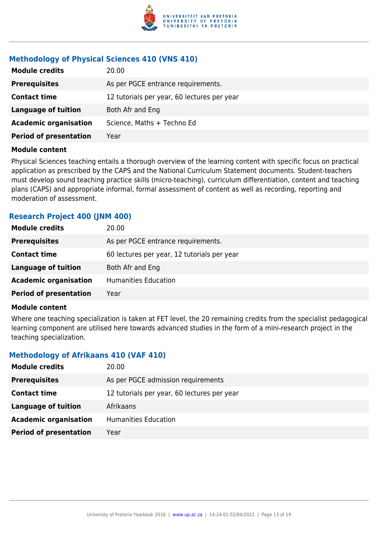

#### **Methodology of Physical Sciences 410 (VNS 410)**

| <b>Module credits</b>         | 20.00                                       |
|-------------------------------|---------------------------------------------|
| <b>Prerequisites</b>          | As per PGCE entrance requirements.          |
| <b>Contact time</b>           | 12 tutorials per year, 60 lectures per year |
| <b>Language of tuition</b>    | Both Afr and Eng                            |
| <b>Academic organisation</b>  | Science, Maths + Techno Ed                  |
| <b>Period of presentation</b> | Year                                        |

#### **Module content**

Physical Sciences teaching entails a thorough overview of the learning content with specific focus on practical application as prescribed by the CAPS and the National Curriculum Statement documents. Student-teachers must develop sound teaching practice skills (micro-teaching), curriculum differentiation, content and teaching plans (CAPS) and appropriate informal, formal assessment of content as well as recording, reporting and moderation of assessment.

#### **Research Project 400 (JNM 400)**

| <b>Module credits</b>         | 20.00                                       |
|-------------------------------|---------------------------------------------|
| <b>Prerequisites</b>          | As per PGCE entrance requirements.          |
| <b>Contact time</b>           | 60 lectures per year, 12 tutorials per year |
| <b>Language of tuition</b>    | Both Afr and Eng                            |
| <b>Academic organisation</b>  | <b>Humanities Education</b>                 |
| <b>Period of presentation</b> | Year                                        |

#### **Module content**

Where one teaching specialization is taken at FET level, the 20 remaining credits from the specialist pedagogical learning component are utilised here towards advanced studies in the form of a mini-research project in the teaching specialization.

#### **Methodology of Afrikaans 410 (VAF 410)**

| <b>Module credits</b>         | 20.00                                       |
|-------------------------------|---------------------------------------------|
| <b>Prerequisites</b>          | As per PGCE admission requirements          |
| <b>Contact time</b>           | 12 tutorials per year, 60 lectures per year |
| <b>Language of tuition</b>    | Afrikaans                                   |
| <b>Academic organisation</b>  | Humanities Education                        |
| <b>Period of presentation</b> | Year                                        |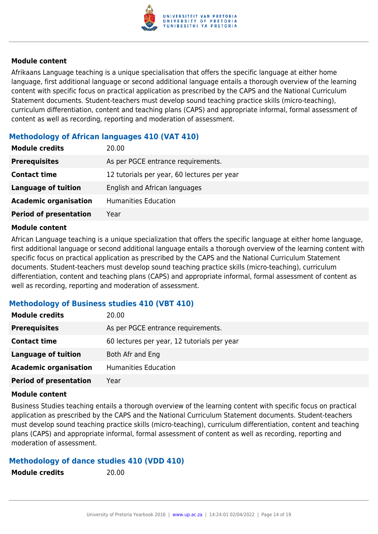

Afrikaans Language teaching is a unique specialisation that offers the specific language at either home language, first additional language or second additional language entails a thorough overview of the learning content with specific focus on practical application as prescribed by the CAPS and the National Curriculum Statement documents. Student-teachers must develop sound teaching practice skills (micro-teaching), curriculum differentiation, content and teaching plans (CAPS) and appropriate informal, formal assessment of content as well as recording, reporting and moderation of assessment.

#### **Methodology of African languages 410 (VAT 410)**

| <b>Module credits</b>         | 20.00                                       |
|-------------------------------|---------------------------------------------|
| <b>Prerequisites</b>          | As per PGCE entrance requirements.          |
| <b>Contact time</b>           | 12 tutorials per year, 60 lectures per year |
| <b>Language of tuition</b>    | English and African languages               |
| <b>Academic organisation</b>  | <b>Humanities Education</b>                 |
| <b>Period of presentation</b> | Year                                        |
|                               |                                             |

#### **Module content**

African Language teaching is a unique specialization that offers the specific language at either home language, first additional language or second additional language entails a thorough overview of the learning content with specific focus on practical application as prescribed by the CAPS and the National Curriculum Statement documents. Student-teachers must develop sound teaching practice skills (micro-teaching), curriculum differentiation, content and teaching plans (CAPS) and appropriate informal, formal assessment of content as well as recording, reporting and moderation of assessment.

#### **Methodology of Business studies 410 (VBT 410)**

| <b>Module credits</b>         | 20.00                                       |
|-------------------------------|---------------------------------------------|
| <b>Prerequisites</b>          | As per PGCE entrance requirements.          |
| <b>Contact time</b>           | 60 lectures per year, 12 tutorials per year |
| <b>Language of tuition</b>    | Both Afr and Eng                            |
| <b>Academic organisation</b>  | Humanities Education                        |
| <b>Period of presentation</b> | Year                                        |

#### **Module content**

Business Studies teaching entails a thorough overview of the learning content with specific focus on practical application as prescribed by the CAPS and the National Curriculum Statement documents. Student-teachers must develop sound teaching practice skills (micro-teaching), curriculum differentiation, content and teaching plans (CAPS) and appropriate informal, formal assessment of content as well as recording, reporting and moderation of assessment.

#### **Methodology of dance studies 410 (VDD 410)**

**Module credits** 20.00

| <b>Module credits</b> |  |  |
|-----------------------|--|--|
|-----------------------|--|--|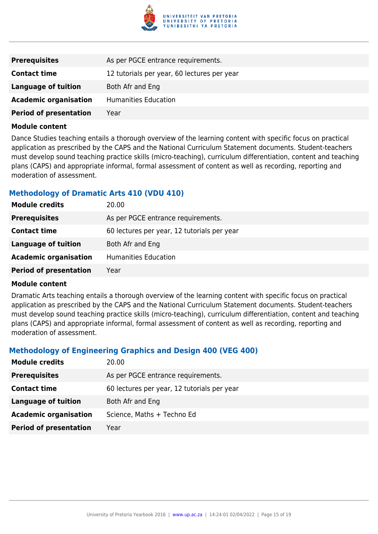

| <b>Prerequisites</b>          | As per PGCE entrance requirements.          |
|-------------------------------|---------------------------------------------|
| <b>Contact time</b>           | 12 tutorials per year, 60 lectures per year |
| Language of tuition           | Both Afr and Eng                            |
| <b>Academic organisation</b>  | Humanities Education                        |
| <b>Period of presentation</b> | Year                                        |

Dance Studies teaching entails a thorough overview of the learning content with specific focus on practical application as prescribed by the CAPS and the National Curriculum Statement documents. Student-teachers must develop sound teaching practice skills (micro-teaching), curriculum differentiation, content and teaching plans (CAPS) and appropriate informal, formal assessment of content as well as recording, reporting and moderation of assessment.

#### **Methodology of Dramatic Arts 410 (VDU 410)**

| <b>Module credits</b>         | 20.00                                       |
|-------------------------------|---------------------------------------------|
| <b>Prerequisites</b>          | As per PGCE entrance requirements.          |
| <b>Contact time</b>           | 60 lectures per year, 12 tutorials per year |
| <b>Language of tuition</b>    | Both Afr and Eng                            |
| <b>Academic organisation</b>  | <b>Humanities Education</b>                 |
| <b>Period of presentation</b> | Year                                        |

#### **Module content**

Dramatic Arts teaching entails a thorough overview of the learning content with specific focus on practical application as prescribed by the CAPS and the National Curriculum Statement documents. Student-teachers must develop sound teaching practice skills (micro-teaching), curriculum differentiation, content and teaching plans (CAPS) and appropriate informal, formal assessment of content as well as recording, reporting and moderation of assessment.

#### **Methodology of Engineering Graphics and Design 400 (VEG 400)**

| <b>Module credits</b>         | 20.00                                       |
|-------------------------------|---------------------------------------------|
| <b>Prerequisites</b>          | As per PGCE entrance requirements.          |
| <b>Contact time</b>           | 60 lectures per year, 12 tutorials per year |
| Language of tuition           | Both Afr and Eng                            |
| <b>Academic organisation</b>  | Science, Maths + Techno Ed                  |
| <b>Period of presentation</b> | Year                                        |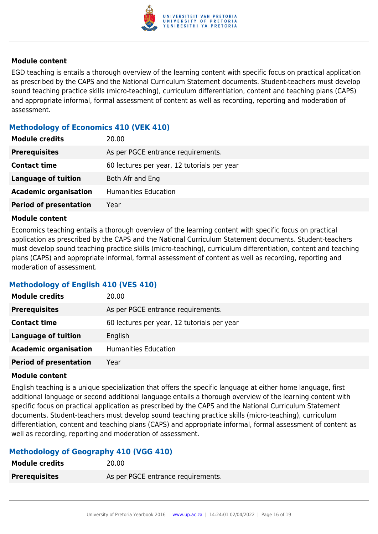

EGD teaching is entails a thorough overview of the learning content with specific focus on practical application as prescribed by the CAPS and the National Curriculum Statement documents. Student-teachers must develop sound teaching practice skills (micro-teaching), curriculum differentiation, content and teaching plans (CAPS) and appropriate informal, formal assessment of content as well as recording, reporting and moderation of assessment.

#### **Methodology of Economics 410 (VEK 410)**

| <b>Module credits</b>         | 20.00                                       |
|-------------------------------|---------------------------------------------|
| <b>Prerequisites</b>          | As per PGCE entrance requirements.          |
| <b>Contact time</b>           | 60 lectures per year, 12 tutorials per year |
| <b>Language of tuition</b>    | Both Afr and Eng                            |
| <b>Academic organisation</b>  | Humanities Education                        |
| <b>Period of presentation</b> | Year                                        |

#### **Module content**

Economics teaching entails a thorough overview of the learning content with specific focus on practical application as prescribed by the CAPS and the National Curriculum Statement documents. Student-teachers must develop sound teaching practice skills (micro-teaching), curriculum differentiation, content and teaching plans (CAPS) and appropriate informal, formal assessment of content as well as recording, reporting and moderation of assessment.

#### **Methodology of English 410 (VES 410)**

| <b>Module credits</b>         | 20.00                                       |
|-------------------------------|---------------------------------------------|
| <b>Prerequisites</b>          | As per PGCE entrance requirements.          |
| <b>Contact time</b>           | 60 lectures per year, 12 tutorials per year |
| Language of tuition           | English                                     |
| <b>Academic organisation</b>  | <b>Humanities Education</b>                 |
| <b>Period of presentation</b> | Year                                        |

#### **Module content**

English teaching is a unique specialization that offers the specific language at either home language, first additional language or second additional language entails a thorough overview of the learning content with specific focus on practical application as prescribed by the CAPS and the National Curriculum Statement documents. Student-teachers must develop sound teaching practice skills (micro-teaching), curriculum differentiation, content and teaching plans (CAPS) and appropriate informal, formal assessment of content as well as recording, reporting and moderation of assessment.

#### **Methodology of Geography 410 (VGG 410)**

| <b>Module credits</b> | 20.00                              |
|-----------------------|------------------------------------|
| <b>Prerequisites</b>  | As per PGCE entrance requirements. |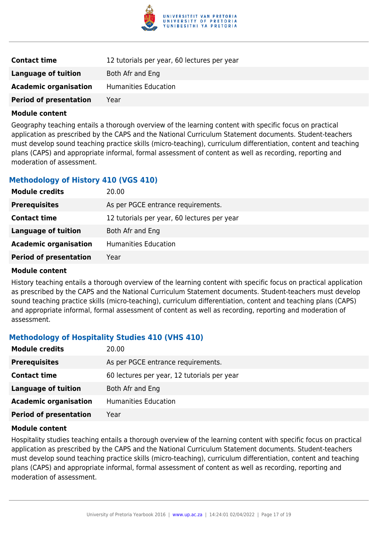

| <b>Contact time</b>           | 12 tutorials per year, 60 lectures per year |
|-------------------------------|---------------------------------------------|
| Language of tuition           | Both Afr and Eng                            |
| <b>Academic organisation</b>  | Humanities Education                        |
| <b>Period of presentation</b> | Year                                        |

Geography teaching entails a thorough overview of the learning content with specific focus on practical application as prescribed by the CAPS and the National Curriculum Statement documents. Student-teachers must develop sound teaching practice skills (micro-teaching), curriculum differentiation, content and teaching plans (CAPS) and appropriate informal, formal assessment of content as well as recording, reporting and moderation of assessment.

#### **Methodology of History 410 (VGS 410)**

| <b>Module credits</b>         | 20.00                                       |
|-------------------------------|---------------------------------------------|
| <b>Prerequisites</b>          | As per PGCE entrance requirements.          |
| <b>Contact time</b>           | 12 tutorials per year, 60 lectures per year |
| <b>Language of tuition</b>    | Both Afr and Eng                            |
| <b>Academic organisation</b>  | Humanities Education                        |
| <b>Period of presentation</b> | Year                                        |
|                               |                                             |

#### **Module content**

History teaching entails a thorough overview of the learning content with specific focus on practical application as prescribed by the CAPS and the National Curriculum Statement documents. Student-teachers must develop sound teaching practice skills (micro-teaching), curriculum differentiation, content and teaching plans (CAPS) and appropriate informal, formal assessment of content as well as recording, reporting and moderation of assessment.

#### **Methodology of Hospitality Studies 410 (VHS 410)**

| <b>Module credits</b>         | 20.00                                       |
|-------------------------------|---------------------------------------------|
| <b>Prerequisites</b>          | As per PGCE entrance requirements.          |
| <b>Contact time</b>           | 60 lectures per year, 12 tutorials per year |
| <b>Language of tuition</b>    | Both Afr and Eng                            |
| <b>Academic organisation</b>  | Humanities Education                        |
| <b>Period of presentation</b> | Year                                        |

#### **Module content**

Hospitality studies teaching entails a thorough overview of the learning content with specific focus on practical application as prescribed by the CAPS and the National Curriculum Statement documents. Student-teachers must develop sound teaching practice skills (micro-teaching), curriculum differentiation, content and teaching plans (CAPS) and appropriate informal, formal assessment of content as well as recording, reporting and moderation of assessment.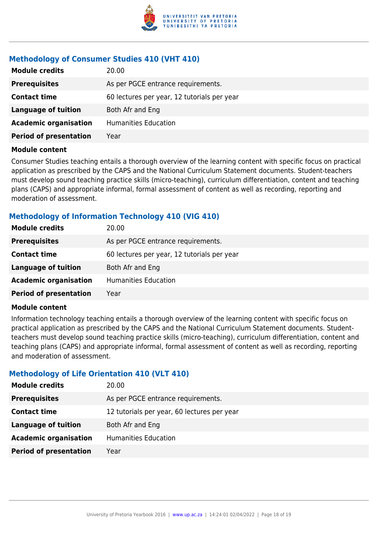

#### **Methodology of Consumer Studies 410 (VHT 410)**

| <b>Module credits</b>         | 20.00                                       |
|-------------------------------|---------------------------------------------|
| <b>Prerequisites</b>          | As per PGCE entrance requirements.          |
| <b>Contact time</b>           | 60 lectures per year, 12 tutorials per year |
| <b>Language of tuition</b>    | Both Afr and Eng                            |
| <b>Academic organisation</b>  | <b>Humanities Education</b>                 |
| <b>Period of presentation</b> | Year                                        |

#### **Module content**

Consumer Studies teaching entails a thorough overview of the learning content with specific focus on practical application as prescribed by the CAPS and the National Curriculum Statement documents. Student-teachers must develop sound teaching practice skills (micro-teaching), curriculum differentiation, content and teaching plans (CAPS) and appropriate informal, formal assessment of content as well as recording, reporting and moderation of assessment.

#### **Methodology of Information Technology 410 (VIG 410)**

| <b>Module credits</b>         | 20.00                                       |
|-------------------------------|---------------------------------------------|
| <b>Prerequisites</b>          | As per PGCE entrance requirements.          |
| <b>Contact time</b>           | 60 lectures per year, 12 tutorials per year |
| <b>Language of tuition</b>    | Both Afr and Eng                            |
| <b>Academic organisation</b>  | Humanities Education                        |
| <b>Period of presentation</b> | Year                                        |

#### **Module content**

Information technology teaching entails a thorough overview of the learning content with specific focus on practical application as prescribed by the CAPS and the National Curriculum Statement documents. Studentteachers must develop sound teaching practice skills (micro-teaching), curriculum differentiation, content and teaching plans (CAPS) and appropriate informal, formal assessment of content as well as recording, reporting and moderation of assessment.

#### **Methodology of Life Orientation 410 (VLT 410)**

| <b>Module credits</b>         | 20.00                                       |
|-------------------------------|---------------------------------------------|
| <b>Prerequisites</b>          | As per PGCE entrance requirements.          |
| <b>Contact time</b>           | 12 tutorials per year, 60 lectures per year |
| <b>Language of tuition</b>    | Both Afr and Eng                            |
| <b>Academic organisation</b>  | Humanities Education                        |
| <b>Period of presentation</b> | Year                                        |